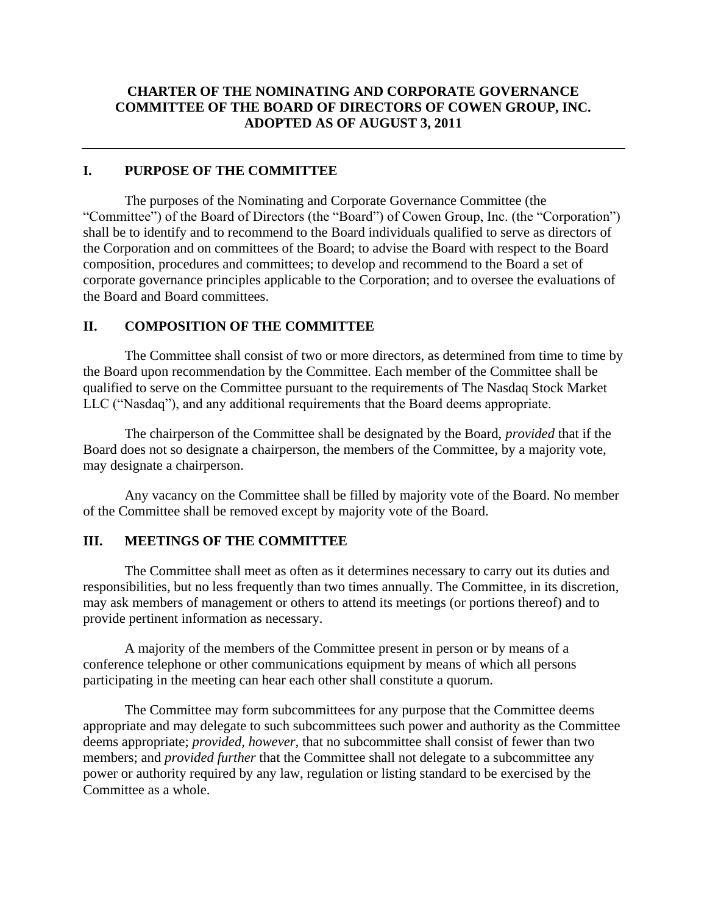## **CHARTER OF THE NOMINATING AND CORPORATE GOVERNANCE COMMITTEE OF THE BOARD OF DIRECTORS OF COWEN GROUP, INC. ADOPTED AS OF AUGUST 3, 2011**

#### **I. PURPOSE OF THE COMMITTEE**

The purposes of the Nominating and Corporate Governance Committee (the "Committee") of the Board of Directors (the "Board") of Cowen Group, Inc. (the "Corporation") shall be to identify and to recommend to the Board individuals qualified to serve as directors of the Corporation and on committees of the Board; to advise the Board with respect to the Board composition, procedures and committees; to develop and recommend to the Board a set of corporate governance principles applicable to the Corporation; and to oversee the evaluations of the Board and Board committees.

#### **II. COMPOSITION OF THE COMMITTEE**

The Committee shall consist of two or more directors, as determined from time to time by the Board upon recommendation by the Committee. Each member of the Committee shall be qualified to serve on the Committee pursuant to the requirements of The Nasdaq Stock Market LLC ("Nasdaq"), and any additional requirements that the Board deems appropriate.

The chairperson of the Committee shall be designated by the Board, *provided* that if the Board does not so designate a chairperson, the members of the Committee, by a majority vote, may designate a chairperson.

Any vacancy on the Committee shall be filled by majority vote of the Board. No member of the Committee shall be removed except by majority vote of the Board.

#### **III. MEETINGS OF THE COMMITTEE**

The Committee shall meet as often as it determines necessary to carry out its duties and responsibilities, but no less frequently than two times annually. The Committee, in its discretion, may ask members of management or others to attend its meetings (or portions thereof) and to provide pertinent information as necessary.

A majority of the members of the Committee present in person or by means of a conference telephone or other communications equipment by means of which all persons participating in the meeting can hear each other shall constitute a quorum.

The Committee may form subcommittees for any purpose that the Committee deems appropriate and may delegate to such subcommittees such power and authority as the Committee deems appropriate; *provided, however,* that no subcommittee shall consist of fewer than two members; and *provided further* that the Committee shall not delegate to a subcommittee any power or authority required by any law, regulation or listing standard to be exercised by the Committee as a whole.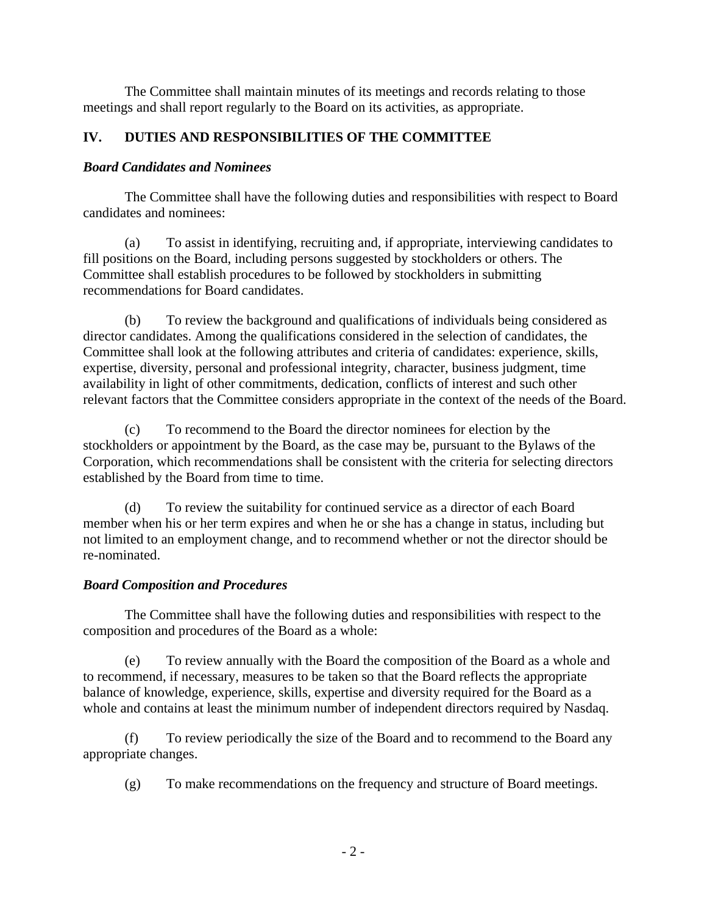The Committee shall maintain minutes of its meetings and records relating to those meetings and shall report regularly to the Board on its activities, as appropriate.

# **IV. DUTIES AND RESPONSIBILITIES OF THE COMMITTEE**

#### *Board Candidates and Nominees*

The Committee shall have the following duties and responsibilities with respect to Board candidates and nominees:

(a) To assist in identifying, recruiting and, if appropriate, interviewing candidates to fill positions on the Board, including persons suggested by stockholders or others. The Committee shall establish procedures to be followed by stockholders in submitting recommendations for Board candidates.

(b) To review the background and qualifications of individuals being considered as director candidates. Among the qualifications considered in the selection of candidates, the Committee shall look at the following attributes and criteria of candidates: experience, skills, expertise, diversity, personal and professional integrity, character, business judgment, time availability in light of other commitments, dedication, conflicts of interest and such other relevant factors that the Committee considers appropriate in the context of the needs of the Board.

(c) To recommend to the Board the director nominees for election by the stockholders or appointment by the Board, as the case may be, pursuant to the Bylaws of the Corporation, which recommendations shall be consistent with the criteria for selecting directors established by the Board from time to time.

(d) To review the suitability for continued service as a director of each Board member when his or her term expires and when he or she has a change in status, including but not limited to an employment change, and to recommend whether or not the director should be re-nominated.

## *Board Composition and Procedures*

The Committee shall have the following duties and responsibilities with respect to the composition and procedures of the Board as a whole:

(e) To review annually with the Board the composition of the Board as a whole and to recommend, if necessary, measures to be taken so that the Board reflects the appropriate balance of knowledge, experience, skills, expertise and diversity required for the Board as a whole and contains at least the minimum number of independent directors required by Nasdaq.

(f) To review periodically the size of the Board and to recommend to the Board any appropriate changes.

(g) To make recommendations on the frequency and structure of Board meetings.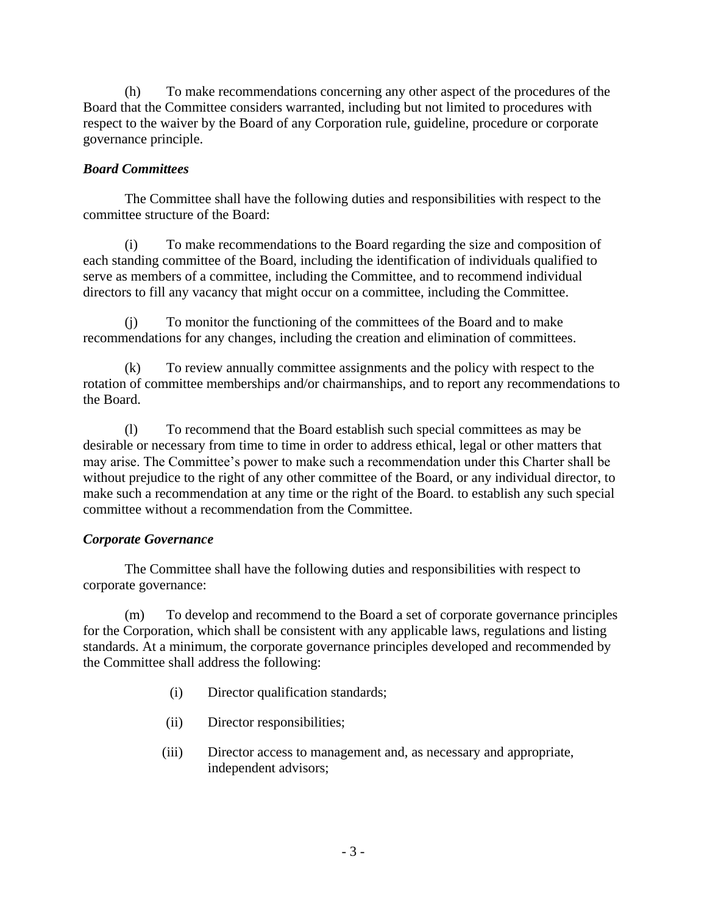(h) To make recommendations concerning any other aspect of the procedures of the Board that the Committee considers warranted, including but not limited to procedures with respect to the waiver by the Board of any Corporation rule, guideline, procedure or corporate governance principle.

## *Board Committees*

The Committee shall have the following duties and responsibilities with respect to the committee structure of the Board:

(i) To make recommendations to the Board regarding the size and composition of each standing committee of the Board, including the identification of individuals qualified to serve as members of a committee, including the Committee, and to recommend individual directors to fill any vacancy that might occur on a committee, including the Committee.

(j) To monitor the functioning of the committees of the Board and to make recommendations for any changes, including the creation and elimination of committees.

(k) To review annually committee assignments and the policy with respect to the rotation of committee memberships and/or chairmanships, and to report any recommendations to the Board.

(l) To recommend that the Board establish such special committees as may be desirable or necessary from time to time in order to address ethical, legal or other matters that may arise. The Committee's power to make such a recommendation under this Charter shall be without prejudice to the right of any other committee of the Board, or any individual director, to make such a recommendation at any time or the right of the Board. to establish any such special committee without a recommendation from the Committee.

## *Corporate Governance*

The Committee shall have the following duties and responsibilities with respect to corporate governance:

(m) To develop and recommend to the Board a set of corporate governance principles for the Corporation, which shall be consistent with any applicable laws, regulations and listing standards. At a minimum, the corporate governance principles developed and recommended by the Committee shall address the following:

- (i) Director qualification standards;
- (ii) Director responsibilities;
- (iii) Director access to management and, as necessary and appropriate, independent advisors;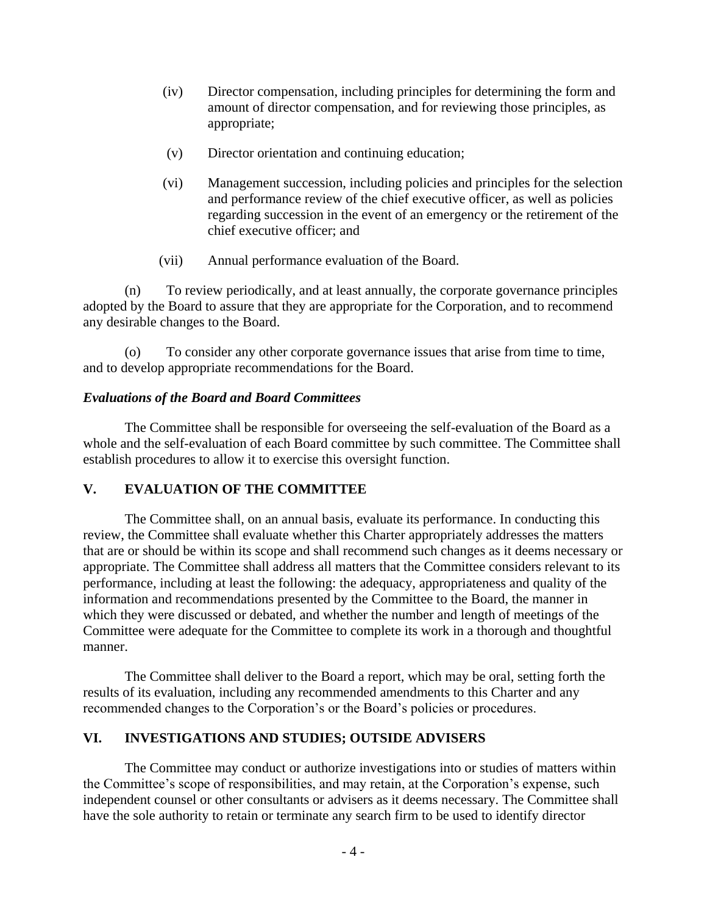- (iv) Director compensation, including principles for determining the form and amount of director compensation, and for reviewing those principles, as appropriate;
- (v) Director orientation and continuing education;
- (vi) Management succession, including policies and principles for the selection and performance review of the chief executive officer, as well as policies regarding succession in the event of an emergency or the retirement of the chief executive officer; and
- (vii) Annual performance evaluation of the Board.

(n) To review periodically, and at least annually, the corporate governance principles adopted by the Board to assure that they are appropriate for the Corporation, and to recommend any desirable changes to the Board.

(o) To consider any other corporate governance issues that arise from time to time, and to develop appropriate recommendations for the Board.

#### *Evaluations of the Board and Board Committees*

The Committee shall be responsible for overseeing the self-evaluation of the Board as a whole and the self-evaluation of each Board committee by such committee. The Committee shall establish procedures to allow it to exercise this oversight function.

## **V. EVALUATION OF THE COMMITTEE**

The Committee shall, on an annual basis, evaluate its performance. In conducting this review, the Committee shall evaluate whether this Charter appropriately addresses the matters that are or should be within its scope and shall recommend such changes as it deems necessary or appropriate. The Committee shall address all matters that the Committee considers relevant to its performance, including at least the following: the adequacy, appropriateness and quality of the information and recommendations presented by the Committee to the Board, the manner in which they were discussed or debated, and whether the number and length of meetings of the Committee were adequate for the Committee to complete its work in a thorough and thoughtful manner.

The Committee shall deliver to the Board a report, which may be oral, setting forth the results of its evaluation, including any recommended amendments to this Charter and any recommended changes to the Corporation's or the Board's policies or procedures.

## **VI. INVESTIGATIONS AND STUDIES; OUTSIDE ADVISERS**

The Committee may conduct or authorize investigations into or studies of matters within the Committee's scope of responsibilities, and may retain, at the Corporation's expense, such independent counsel or other consultants or advisers as it deems necessary. The Committee shall have the sole authority to retain or terminate any search firm to be used to identify director